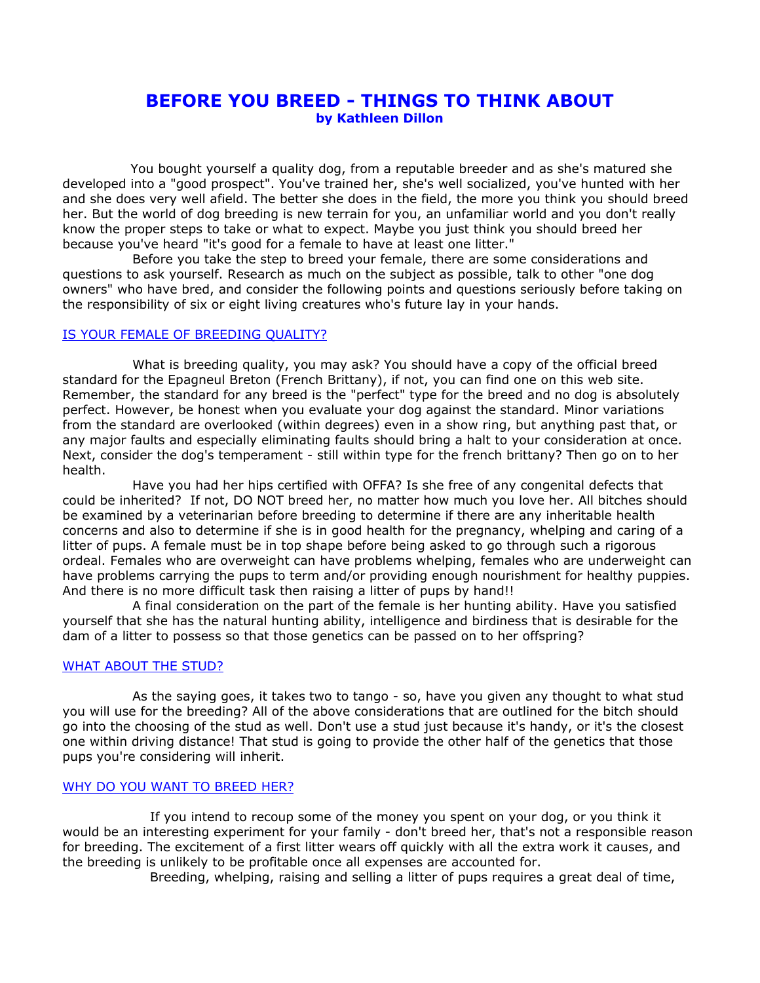# **BEFORE YOU BREED - THINGS TO THINK ABOUT by Kathleen Dillon**

You bought yourself a quality dog, from a reputable breeder and as she's matured she developed into a "good prospect". You've trained her, she's well socialized, you've hunted with her and she does very well afield. The better she does in the field, the more you think you should breed her. But the world of dog breeding is new terrain for you, an unfamiliar world and you don't really know the proper steps to take or what to expect. Maybe you just think you should breed her because you've heard "it's good for a female to have at least one litter."

 Before you take the step to breed your female, there are some considerations and questions to ask yourself. Research as much on the subject as possible, talk to other "one dog owners" who have bred, and consider the following points and questions seriously before taking on the responsibility of six or eight living creatures who's future lay in your hands.

# IS YOUR FEMALE OF BREEDING QUALITY?

 What is breeding quality, you may ask? You should have a copy of the official breed standard for the Epagneul Breton (French Brittany), if not, you can find one on this web site. Remember, the standard for any breed is the "perfect" type for the breed and no dog is absolutely perfect. However, be honest when you evaluate your dog against the standard. Minor variations from the standard are overlooked (within degrees) even in a show ring, but anything past that, or any major faults and especially eliminating faults should bring a halt to your consideration at once. Next, consider the dog's temperament - still within type for the french brittany? Then go on to her health.

 Have you had her hips certified with OFFA? Is she free of any congenital defects that could be inherited? If not, DO NOT breed her, no matter how much you love her. All bitches should be examined by a veterinarian before breeding to determine if there are any inheritable health concerns and also to determine if she is in good health for the pregnancy, whelping and caring of a litter of pups. A female must be in top shape before being asked to go through such a rigorous ordeal. Females who are overweight can have problems whelping, females who are underweight can have problems carrying the pups to term and/or providing enough nourishment for healthy puppies. And there is no more difficult task then raising a litter of pups by hand!!

 A final consideration on the part of the female is her hunting ability. Have you satisfied yourself that she has the natural hunting ability, intelligence and birdiness that is desirable for the dam of a litter to possess so that those genetics can be passed on to her offspring?

## WHAT ABOUT THE STUD?

 As the saying goes, it takes two to tango - so, have you given any thought to what stud you will use for the breeding? All of the above considerations that are outlined for the bitch should go into the choosing of the stud as well. Don't use a stud just because it's handy, or it's the closest one within driving distance! That stud is going to provide the other half of the genetics that those pups you're considering will inherit.

## WHY DO YOU WANT TO BREED HER?

 If you intend to recoup some of the money you spent on your dog, or you think it would be an interesting experiment for your family - don't breed her, that's not a responsible reason for breeding. The excitement of a first litter wears off quickly with all the extra work it causes, and the breeding is unlikely to be profitable once all expenses are accounted for.

Breeding, whelping, raising and selling a litter of pups requires a great deal of time,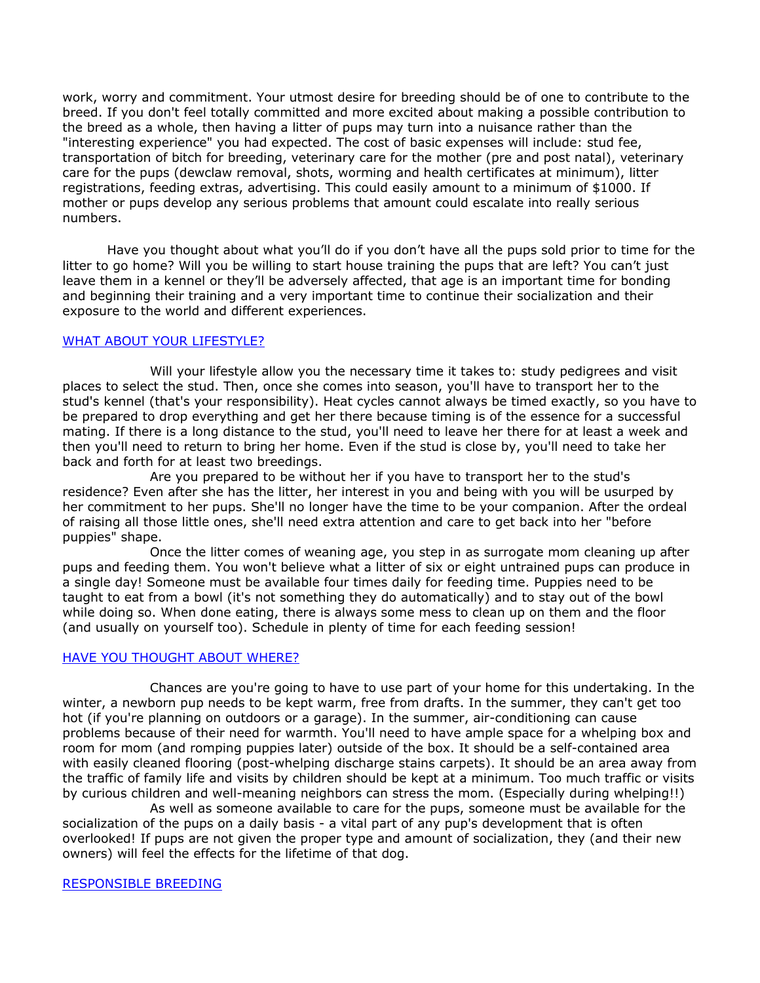work, worry and commitment. Your utmost desire for breeding should be of one to contribute to the breed. If you don't feel totally committed and more excited about making a possible contribution to the breed as a whole, then having a litter of pups may turn into a nuisance rather than the "interesting experience" you had expected. The cost of basic expenses will include: stud fee, transportation of bitch for breeding, veterinary care for the mother (pre and post natal), veterinary care for the pups (dewclaw removal, shots, worming and health certificates at minimum), litter registrations, feeding extras, advertising. This could easily amount to a minimum of \$1000. If mother or pups develop any serious problems that amount could escalate into really serious numbers.

Have you thought about what you'll do if you don't have all the pups sold prior to time for the litter to go home? Will you be willing to start house training the pups that are left? You can't just leave them in a kennel or they'll be adversely affected, that age is an important time for bonding and beginning their training and a very important time to continue their socialization and their exposure to the world and different experiences.

## WHAT ABOUT YOUR LIFESTYLE?

Will your lifestyle allow you the necessary time it takes to: study pedigrees and visit places to select the stud. Then, once she comes into season, you'll have to transport her to the stud's kennel (that's your responsibility). Heat cycles cannot always be timed exactly, so you have to be prepared to drop everything and get her there because timing is of the essence for a successful mating. If there is a long distance to the stud, you'll need to leave her there for at least a week and then you'll need to return to bring her home. Even if the stud is close by, you'll need to take her back and forth for at least two breedings.

 Are you prepared to be without her if you have to transport her to the stud's residence? Even after she has the litter, her interest in you and being with you will be usurped by her commitment to her pups. She'll no longer have the time to be your companion. After the ordeal of raising all those little ones, she'll need extra attention and care to get back into her "before puppies" shape.

 Once the litter comes of weaning age, you step in as surrogate mom cleaning up after pups and feeding them. You won't believe what a litter of six or eight untrained pups can produce in a single day! Someone must be available four times daily for feeding time. Puppies need to be taught to eat from a bowl (it's not something they do automatically) and to stay out of the bowl while doing so. When done eating, there is always some mess to clean up on them and the floor (and usually on yourself too). Schedule in plenty of time for each feeding session!

#### HAVE YOU THOUGHT ABOUT WHERE?

 Chances are you're going to have to use part of your home for this undertaking. In the winter, a newborn pup needs to be kept warm, free from drafts. In the summer, they can't get too hot (if you're planning on outdoors or a garage). In the summer, air-conditioning can cause problems because of their need for warmth. You'll need to have ample space for a whelping box and room for mom (and romping puppies later) outside of the box. It should be a self-contained area with easily cleaned flooring (post-whelping discharge stains carpets). It should be an area away from the traffic of family life and visits by children should be kept at a minimum. Too much traffic or visits by curious children and well-meaning neighbors can stress the mom. (Especially during whelping!!)

 As well as someone available to care for the pups, someone must be available for the socialization of the pups on a daily basis - a vital part of any pup's development that is often overlooked! If pups are not given the proper type and amount of socialization, they (and their new owners) will feel the effects for the lifetime of that dog.

#### RESPONSIBLE BREEDING